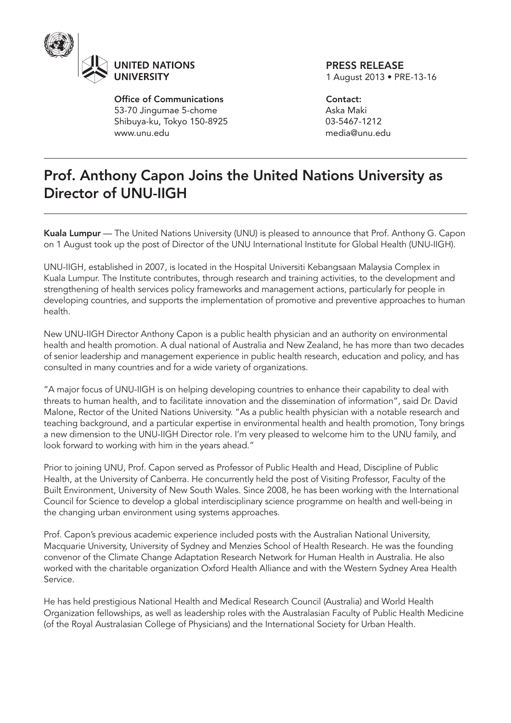

Office of Communications 53-70 Jingumae 5-chome Shibuya-ku, Tokyo 150-8925 www.unu.edu

PRESS RELEASE 1 August 2013 • PRE-13-16

Contact: Aska Maki 03-5467-1212 media@unu.edu

## Prof. Anthony Capon Joins the United Nations University as Director of UNU-IIGH

Kuala Lumpur — The United Nations University (UNU) is pleased to announce that Prof. Anthony G. Capon on 1 August took up the post of Director of the UNU International Institute for Global Health (UNU-IIGH).

UNU-IIGH, established in 2007, is located in the Hospital Universiti Kebangsaan Malaysia Complex in Kuala Lumpur. The Institute contributes, through research and training activities, to the development and strengthening of health services policy frameworks and management actions, particularly for people in developing countries, and supports the implementation of promotive and preventive approaches to human health.

New UNU-IIGH Director Anthony Capon is a public health physician and an authority on environmental health and health promotion. A dual national of Australia and New Zealand, he has more than two decades of senior leadership and management experience in public health research, education and policy, and has consulted in many countries and for a wide variety of organizations.

"A major focus of UNU-IIGH is on helping developing countries to enhance their capability to deal with threats to human health, and to facilitate innovation and the dissemination of information", said Dr. David Malone, Rector of the United Nations University. "As a public health physician with a notable research and teaching background, and a particular expertise in environmental health and health promotion, Tony brings a new dimension to the UNU-IIGH Director role. I'm very pleased to welcome him to the UNU family, and look forward to working with him in the years ahead."

Prior to joining UNU, Prof. Capon served as Professor of Public Health and Head, Discipline of Public Health, at the University of Canberra. He concurrently held the post of Visiting Professor, Faculty of the Built Environment, University of New South Wales. Since 2008, he has been working with the International Council for Science to develop a global interdisciplinary science programme on health and well-being in the changing urban environment using systems approaches.

Prof. Capon's previous academic experience included posts with the Australian National University, Macquarie University, University of Sydney and Menzies School of Health Research. He was the founding convenor of the Climate Change Adaptation Research Network for Human Health in Australia. He also worked with the charitable organization Oxford Health Alliance and with the Western Sydney Area Health Service.

He has held prestigious National Health and Medical Research Council (Australia) and World Health Organization fellowships, as well as leadership roles with the Australasian Faculty of Public Health Medicine (of the Royal Australasian College of Physicians) and the International Society for Urban Health.